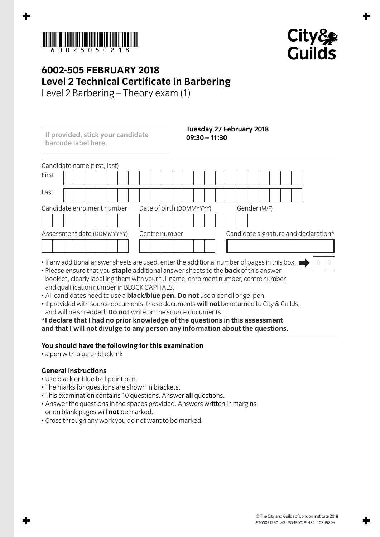



**0 0**

## **6002-505 FEBRUARY 2018 Level 2 Technical Certificate in Barbering**

Level 2 Barbering – Theory exam (1)

Candidate name (first, last) First Last Candidate enrolment number Date of birth (DDMMYYYY) Gender (M/F) Assessment date (DDMMYYYY) Centre number Candidate signature and declaration\* **If provided, stick your candidate barcode label here. Tuesday 27 February 2018 09:30 – 11:30**

- If any additional answer sheets are used, enter the additional number of pages in this box. I
- Please ensure that you **staple** additional answer sheets to the **back** of this answer booklet, clearly labelling them with your full name, enrolment number, centre number and qualification number in BLOCK CAPITALS.
- All candidates need to use a **black/blue pen. Do not** use a pencil or gel pen.
- If provided with source documents, these documents **will not** be returned to City & Guilds, and will be shredded. **Do not** write on the source documents.

**\*I declare that I had no prior knowledge of the questions in this assessment and that I will not divulge to any person any information about the questions.**

## **You should have the following for this examination**

• a pen with blue or black ink

## **General instructions**

- Use black or blue ball-point pen.
- The marks for questions are shown in brackets.
- This examination contains 10 questions. Answer **all** questions.
- Answer the questions in the spaces provided. Answers written in margins or on blank pages will **not** be marked.
- Cross through any work you do not want to be marked.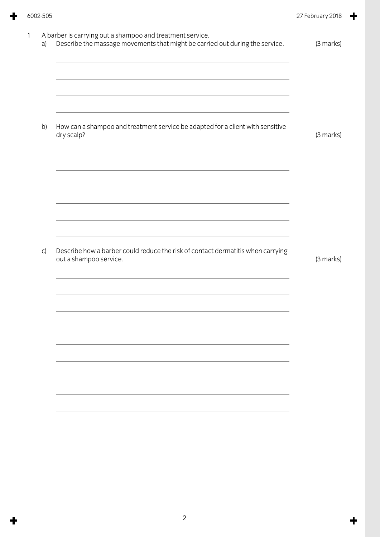| A barber is carrying out a shampoo and treatment service.<br>Describe the massage movements that might be carried out during the service. | (3 marks) |
|-------------------------------------------------------------------------------------------------------------------------------------------|-----------|
|                                                                                                                                           |           |
| How can a shampoo and treatment service be adapted for a client with sensitive<br>dry scalp?                                              | (3 marks) |
|                                                                                                                                           |           |
|                                                                                                                                           |           |
| Describe how a barber could reduce the risk of contact dermatitis when carrying<br>out a shampoo service.                                 | (3 marks) |
|                                                                                                                                           |           |
|                                                                                                                                           |           |
|                                                                                                                                           |           |
|                                                                                                                                           |           |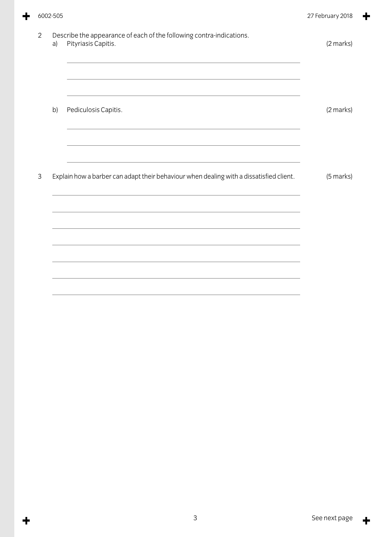|                | 6002-505 |                                                                                             | 27 February 2018 |
|----------------|----------|---------------------------------------------------------------------------------------------|------------------|
| $\overline{2}$ | a)       | Describe the appearance of each of the following contra-indications.<br>Pityriasis Capitis. | (2 marks)        |
|                | b)       | Pediculosis Capitis.                                                                        | (2 marks)        |
|                |          |                                                                                             |                  |
| 3              |          | Explain how a barber can adapt their behaviour when dealing with a dissatisfied client.     | (5 marks)        |
|                |          |                                                                                             |                  |
|                |          |                                                                                             |                  |

÷

 $\ddagger$ 

 $\ddagger$ 

╈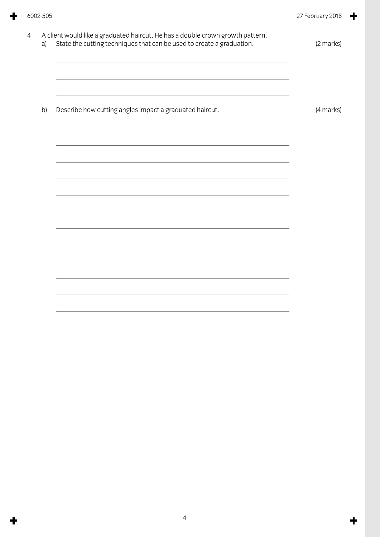| a) | A client would like a graduated haircut. He has a double crown growth pattern.<br>State the cutting techniques that can be used to create a graduation. | (2 marks) |
|----|---------------------------------------------------------------------------------------------------------------------------------------------------------|-----------|
|    |                                                                                                                                                         |           |
| b) | Describe how cutting angles impact a graduated haircut.                                                                                                 | (4 marks) |
|    |                                                                                                                                                         |           |
|    |                                                                                                                                                         |           |
|    |                                                                                                                                                         |           |
|    |                                                                                                                                                         |           |
|    |                                                                                                                                                         |           |
|    |                                                                                                                                                         |           |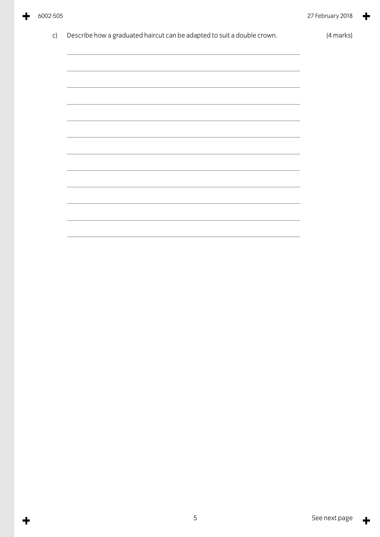╋

╈

| Describe how a graduated haircut can be adapted to suit a double crown. | (4 marks) |
|-------------------------------------------------------------------------|-----------|
|                                                                         |           |
|                                                                         |           |
|                                                                         |           |
|                                                                         |           |
|                                                                         |           |
|                                                                         |           |
|                                                                         |           |
|                                                                         |           |
|                                                                         |           |
|                                                                         |           |
|                                                                         |           |
|                                                                         |           |

 $\ddagger$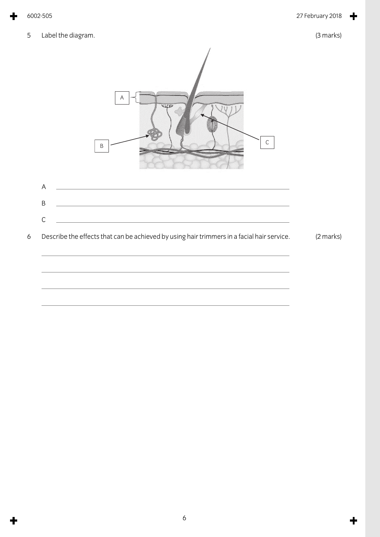5 Label the diagram. (3 marks)

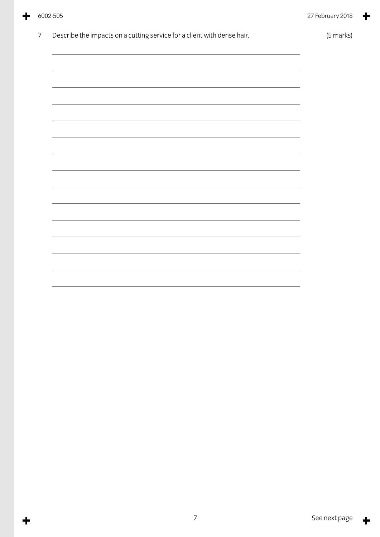|  | 6002-505 |
|--|----------|
|--|----------|

 $\ddagger$ 

╋

| Describe the impacts on a cutting service for a client with dense hair.                                                | (5 marks) |
|------------------------------------------------------------------------------------------------------------------------|-----------|
|                                                                                                                        |           |
|                                                                                                                        |           |
| <u> 1989 - Johann Stoff, deutscher Stoff, der Stoff, der Stoff, der Stoff, der Stoff, der Stoff, der Stoff, der S</u>  |           |
| <u> 1989 - Johann Stoff, deutscher Stoff, der Stoff, der Stoff, der Stoff, der Stoff, der Stoff, der Stoff, der S</u>  |           |
|                                                                                                                        |           |
|                                                                                                                        |           |
|                                                                                                                        |           |
|                                                                                                                        |           |
|                                                                                                                        |           |
| <u> 1989 - Johann Stoff, amerikansk politiker (d. 1989)</u>                                                            |           |
| <u> 1989 - Andrea Santana, amerikana amerikana amerikana amerikana amerikana amerikana amerikana amerikana amerika</u> |           |
|                                                                                                                        |           |
|                                                                                                                        |           |
|                                                                                                                        |           |
|                                                                                                                        |           |
|                                                                                                                        |           |

 $\ddagger$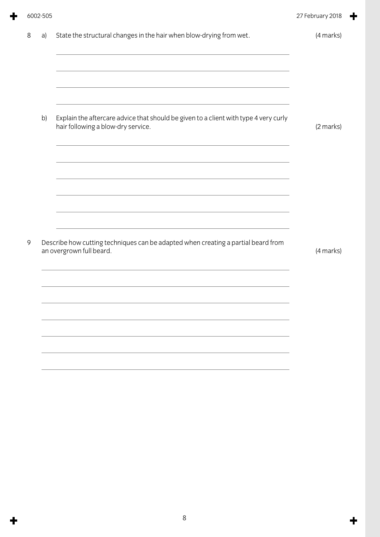| State the structural changes in the hair when blow-drying from wet.<br>(4 marks)<br>8<br>a)<br>Explain the aftercare advice that should be given to a client with type 4 very curly<br>b)<br>hair following a blow-dry service.<br>(2 marks)<br>Describe how cutting techniques can be adapted when creating a partial beard from<br>9<br>an overgrown full beard.<br>(4 marks) |
|---------------------------------------------------------------------------------------------------------------------------------------------------------------------------------------------------------------------------------------------------------------------------------------------------------------------------------------------------------------------------------|
|                                                                                                                                                                                                                                                                                                                                                                                 |
|                                                                                                                                                                                                                                                                                                                                                                                 |
|                                                                                                                                                                                                                                                                                                                                                                                 |
|                                                                                                                                                                                                                                                                                                                                                                                 |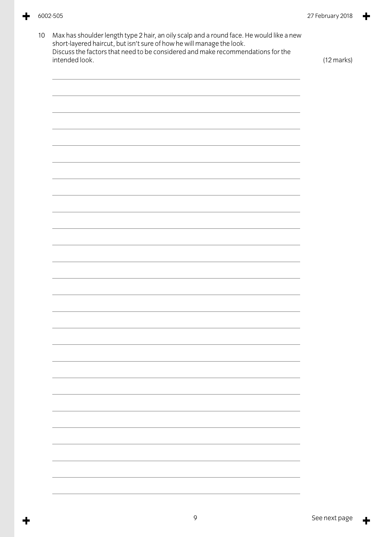╈

╋

| intended look. |  | (12 marks) |
|----------------|--|------------|
|                |  |            |
|                |  |            |
|                |  |            |
|                |  |            |
|                |  |            |
|                |  |            |
|                |  |            |
|                |  |            |
|                |  |            |
|                |  |            |
|                |  |            |
|                |  |            |
|                |  |            |
|                |  |            |
|                |  |            |
|                |  |            |
|                |  |            |
|                |  |            |
|                |  |            |
|                |  |            |
|                |  |            |

 $\ddagger$